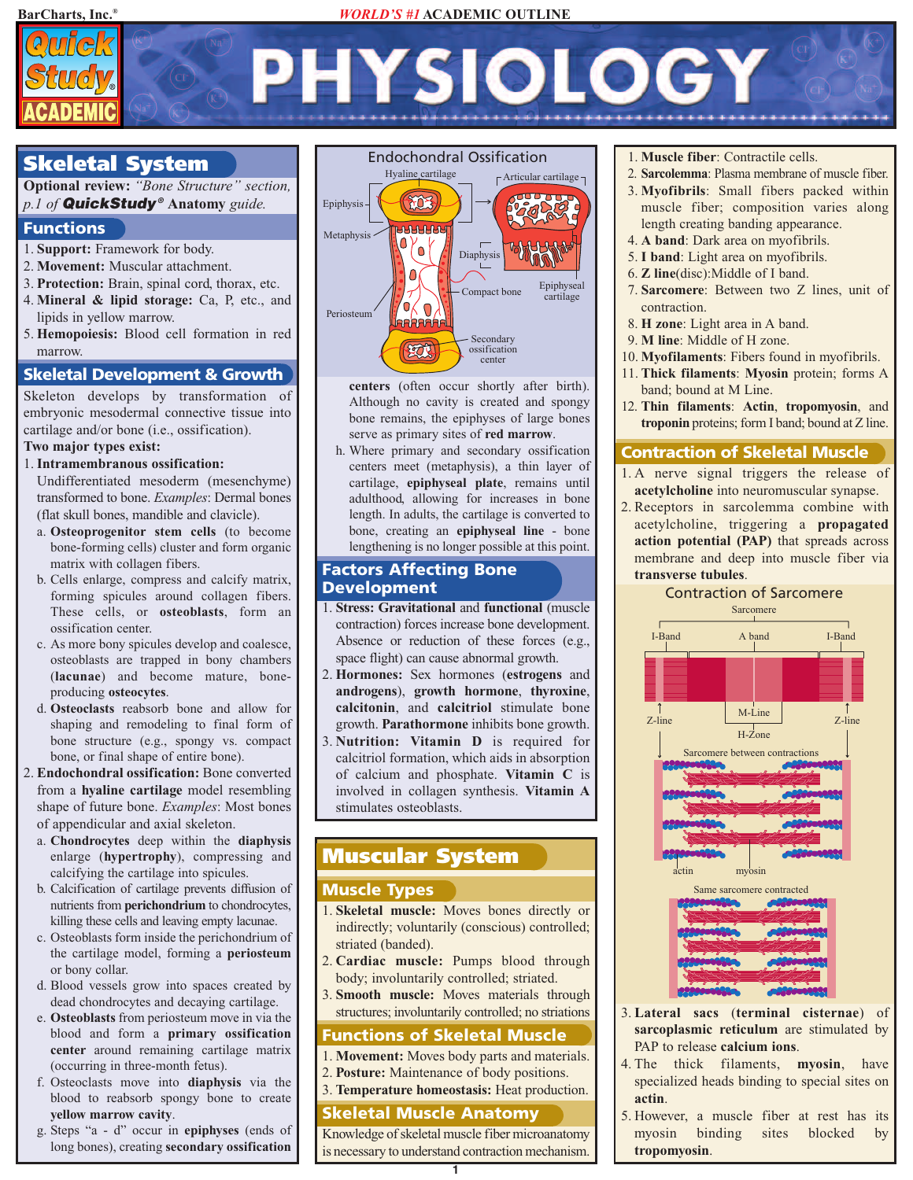#### **BarCharts, Inc.®** *WORLD'S #1* **ACADEMIC OUTLINE**



# PHYSIOLOGY

# **Skeletal System**

**Optional review:** *"Bone Structure" section, p.1 of QuickStudy ®* **Anatomy** *guide.*

#### **Functions**

- 1. **Support:** Framework for body.
- 2. **Movement:** Muscular attachment.
- 3. **Protection:** Brain, spinal cord, thorax, etc.
- 4. **Mineral & lipid storage:** Ca, P, etc., and lipids in yellow marrow.
- 5. **Hemopoiesis:** Blood cell formation in red marrow.

#### **Skeletal Development & Growth**

Skeleton develops by transformation of embryonic mesodermal connective tissue into cartilage and/or bone (i.e., ossification).

#### **Two major types exist:**

1. **Intramembranous ossification:** Undifferentiated mesoderm (mesenchyme) transformed to bone. *Examples*: Dermal bones (flat skull bones, mandible and clavicle).

- a. **Osteoprogenitor stem cells** (to become bone-forming cells) cluster and form organic matrix with collagen fibers.
- b. Cells enlarge, compress and calcify matrix, forming spicules around collagen fibers. These cells, or **osteoblasts**, form an ossification center.
- c. As more bony spicules develop and coalesce, osteoblasts are trapped in bony chambers (**lacunae**) and become mature, boneproducing **osteocytes**.
- d. **Osteoclasts** reabsorb bone and allow for shaping and remodeling to final form of bone structure (e.g., spongy vs. compact bone, or final shape of entire bone).
- 2. **Endochondral ossification:** Bone converted from a **hyaline cartilage** model resembling shape of future bone. *Examples*: Most bones of appendicular and axial skeleton.
	- a. **Chondrocytes** deep within the **diaphysis** enlarge (**hypertrophy**), compressing and calcifying the cartilage into spicules.
	- b. Calcification of cartilage prevents diffusion of nutrients from **perichondrium** to chondrocytes, killing these cells and leaving empty lacunae.
	- c. Osteoblasts form inside the perichondrium of the cartilage model, forming a **periosteum** or bony collar.
	- d. Blood vessels grow into spaces created by dead chondrocytes and decaying cartilage.
	- e. **Osteoblasts** from periosteum move in via the blood and form a **primary ossification center** around remaining cartilage matrix (occurring in three-month fetus).
	- f. Osteoclasts move into **diaphysis** via the blood to reabsorb spongy bone to create **yellow marrow cavity**.
	- g. Steps "a d" occur in **epiphyses** (ends of long bones), creating **secondary ossification**

#### Endochondral Ossification Hyaline cartilage  $\Gamma$ Articular cartilage $\neg$ TO3 Epiphysis **HHHHH** Metaphysis 0)  $\overline{0}$ Diaphysis  $\Omega$ Epiphyseal cartilage Compact bone  $\mathbf{0} \setminus \mathbf{0}$ Periosteum aarraaf Secondary **SOC** ossification center

**centers** (often occur shortly after birth). Although no cavity is created and spongy bone remains, the epiphyses of large bones serve as primary sites of **red marrow**.

h. Where primary and secondary ossification centers meet (metaphysis), a thin layer of cartilage, **epiphyseal plate**, remains until adulthood, allowing for increases in bone length. In adults, the cartilage is converted to bone, creating an **epiphyseal line** - bone lengthening is no longer possible at this point.

#### **Factors Affecting Bone Development**

- 1. **Stress: Gravitational** and **functional** (muscle contraction) forces increase bone development. Absence or reduction of these forces (e.g., space flight) can cause abnormal growth.
- 2. **Hormones:** Sex hormones (**estrogens** and **androgens**), **growth hormone**, **thyroxine**, **calcitonin**, and **calcitriol** stimulate bone growth. **Parathormone** inhibits bone growth.
- 3. **Nutrition: Vitamin D** is required for calcitriol formation, which aids in absorption of calcium and phosphate. **Vitamin C** is involved in collagen synthesis. **Vitamin A** stimulates osteoblasts.

# **Muscular System**

#### **Muscle Types**

- 1. **Skeletal muscle:** Moves bones directly or indirectly; voluntarily (conscious) controlled; striated (banded).
- 2. **Cardiac muscle:** Pumps blood through body; involuntarily controlled; striated.
- 3. **Smooth muscle:** Moves materials through structures; involuntarily controlled; no striations

### **Functions of Skeletal Muscle**

- 1. **Movement:** Moves body parts and materials.
- 2. **Posture:** Maintenance of body positions.
- 3. **Temperature homeostasis:** Heat production.

#### **Skeletal Muscle Anatomy**

Knowledge of skeletal muscle fiber microanatomy is necessary to understand contraction mechanism.

- 1. **Muscle fiber**: Contractile cells.
- 2. **Sarcolemma**: Plasma membrane of muscle fiber.
- 3. **Myofibrils**: Small fibers packed within muscle fiber; composition varies along length creating banding appearance.
- 4. **A band**: Dark area on myofibrils.
- 5. **I band**: Light area on myofibrils.
- 6. **Z line**(disc):Middle of I band.
- 7. **Sarcomere**: Between two Z lines, unit of contraction.
- 8. **H zone**: Light area in A band.
- 9. **M line**: Middle of H zone.
- 10. **Myofilaments**: Fibers found in myofibrils.
- 11. **Thick filaments**: **Myosin** protein; forms A band; bound at M Line.
- 12. **Thin filaments**: **Actin**, **tropomyosin**, and **troponin** proteins; form I band; bound at Z line.

#### **Contraction of Skeletal Muscle**

- 1. A nerve signal triggers the release of **acetylcholine** into neuromuscular synapse.
- 2. Receptors in sarcolemma combine with acetylcholine, triggering a **propagated action potential (PAP)** that spreads across membrane and deep into muscle fiber via **transverse tubules**.





- 3. **Lateral sacs** (**terminal cisternae**) of **sarcoplasmic reticulum** are stimulated by PAP to release **calcium ions**.
- 4. The thick filaments, **myosin**, have specialized heads binding to special sites on **actin**.
- 5. However, a muscle fiber at rest has its myosin binding sites blocked by **tropomyosin**.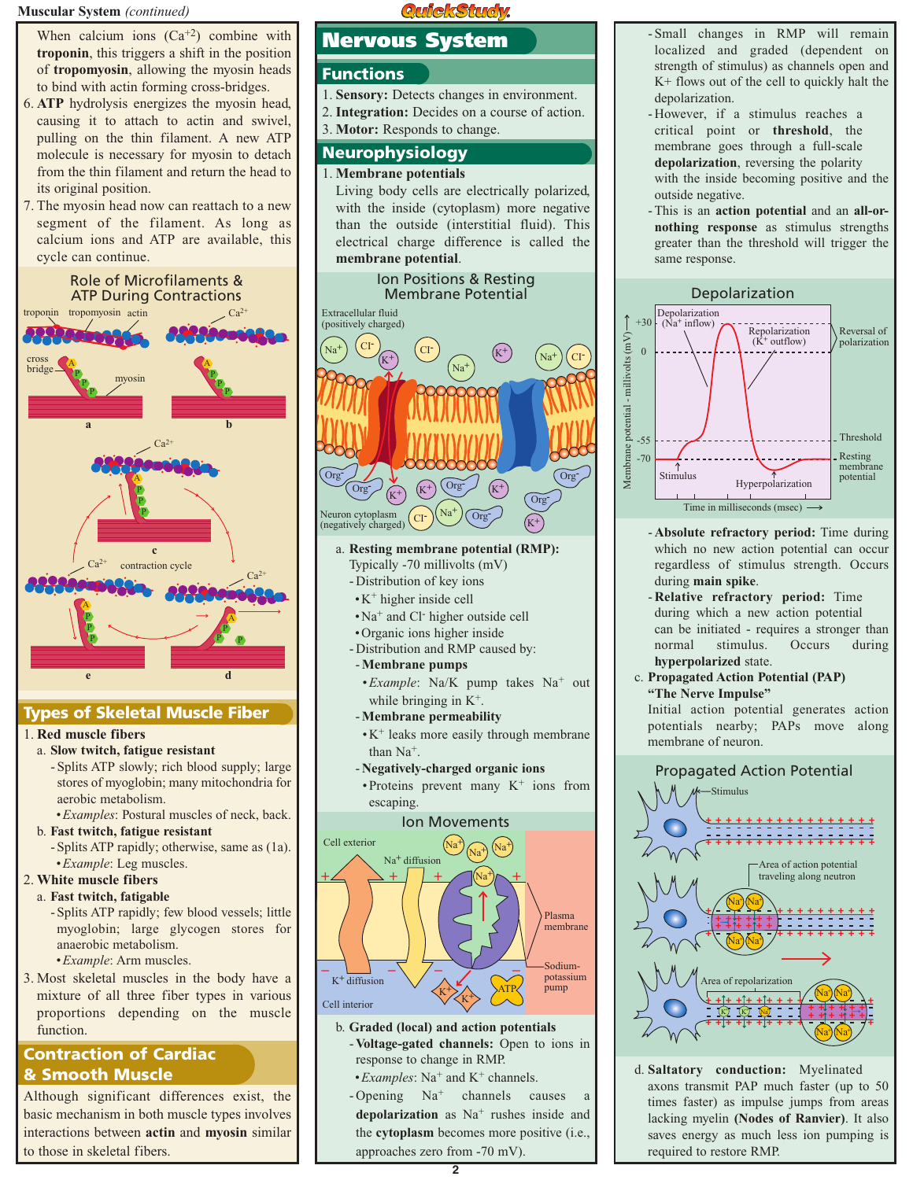#### **Muscular System** *(continued)*

When calcium ions  $(Ca^{+2})$  combine with **troponin**, this triggers a shift in the position of **tropomyosin**, allowing the myosin heads to bind with actin forming cross-bridges.

- 6. **ATP** hydrolysis energizes the myosin head, causing it to attach to actin and swivel, pulling on the thin filament. A new ATP molecule is necessary for myosin to detach from the thin filament and return the head to its original position.
- 7. The myosin head now can reattach to a new segment of the filament. As long as calcium ions and ATP are available, this cycle can continue.



### **Types of Skeletal Muscle Fiber**

#### 1. **Red muscle fibers**

- a. **Slow twitch, fatigue resistant**
	- Splits ATP slowly; rich blood supply; large stores of myoglobin; many mitochondria for aerobic metabolism.
- •*Examples*: Postural muscles of neck, back.
- b. **Fast twitch, fatigue resistant** - Splits ATP rapidly; otherwise, same as (1a).
- •*Example*: Leg muscles.
- 2. **White muscle fibers**

#### a. **Fast twitch, fatigable**

- Splits ATP rapidly; few blood vessels; little myoglobin; large glycogen stores for anaerobic metabolism.
- •*Example*: Arm muscles.
- 3. Most skeletal muscles in the body have a mixture of all three fiber types in various proportions depending on the muscle function.

### **Contraction of Cardiac & Smooth Muscle**

Although significant differences exist, the basic mechanism in both muscle types involves interactions between **actin** and **myosin** similar to those in skeletal fibers.

#### **QuickStudy**

## **Nervous System**

#### **Functions**

- 1. **Sensory:** Detects changes in environment.
- 2. **Integration:** Decides on a course of action.
- 3. **Motor:** Responds to change.

#### **Neurophysiology**

1. **Membrane potentials** Living body cells are electrically polarized, with the inside (cytoplasm) more negative than the outside (interstitial fluid). This electrical charge difference is called the **membrane potential**.





#### a. **Resting membrane potential (RMP):**

- Typically -70 millivolts (mV)
- Distribution of key ions
- $\cdot$ K<sup>+</sup> higher inside cell
- •Na+ and Cl- higher outside cell
- •Organic ions higher inside
- Distribution and RMP caused by:
- -**Membrane pumps**
- •*Example*: Na/K pump takes Na<sup>+</sup> out while bringing in  $K^+$ .
- -**Membrane permeability**
- $\cdot$  K<sup>+</sup> leaks more easily through membrane than Na+.
- **Negatively-charged organic ions**
- Proteins prevent many  $K^+$  ions from escaping.



- b. **Graded (local) and action potentials** - **Voltage-gated channels:** Open to ions in response to change in RMP.
	- •*Examples*: Na<sup>+</sup> and K<sup>+</sup> channels.
- $-$  Opening  $Na<sup>+</sup>$  channels causes depolarization as Na<sup>+</sup> rushes inside and the **cytoplasm** becomes more positive (i.e., approaches zero from -70 mV).
- Small changes in RMP will remain localized and graded (dependent on strength of stimulus) as channels open and K+ flows out of the cell to quickly halt the depolarization.
- However, if a stimulus reaches a critical point or **threshold**, the membrane goes through a full-scale **depolarization**, reversing the polarity with the inside becoming positive and the outside negative.
- This is an **action potential** and an **all-ornothing response** as stimulus strengths greater than the threshold will trigger the same response.



- **Absolute refractory period:** Time during which no new action potential can occur regardless of stimulus strength. Occurs during **main spike**.
- **Relative refractory period:** Time during which a new action potential can be initiated - requires a stronger than normal stimulus. Occurs during **hyperpolarized** state.

#### c. **Propagated Action Potential (PAP) "The Nerve Impulse"**

Initial action potential generates action potentials nearby; PAPs move along membrane of neuron.



d. **Saltatory conduction:** Myelinated axons transmit PAP much faster (up to 50 times faster) as impulse jumps from areas lacking myelin **(Nodes of Ranvier)**. It also saves energy as much less ion pumping is required to restore RMP.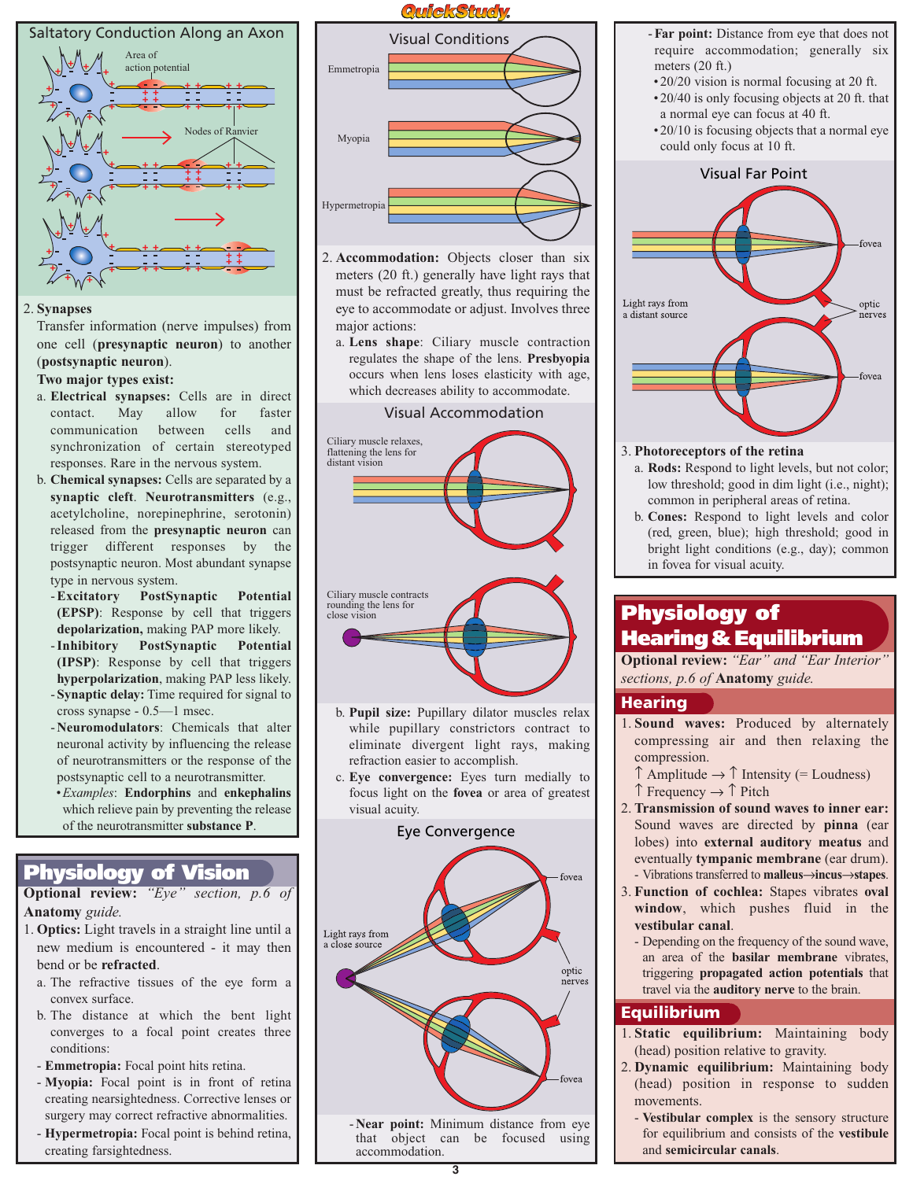

#### 2. **Synapses**

Transfer information (nerve impulses) from one cell (**presynaptic neuron**) to another (**postsynaptic neuron**).

#### **Two major types exist:**

- a. **Electrical synapses:** Cells are in direct contact. May allow for faster communication between cells and synchronization of certain stereotyped responses. Rare in the nervous system.
- b. **Chemical synapses:** Cells are separated by a **synaptic cleft**. **Neurotransmitters** (e.g., acetylcholine, norepinephrine, serotonin) released from the **presynaptic neuron** can trigger different responses by the postsynaptic neuron. Most abundant synapse type in nervous system.
	- -**Excitatory PostSynaptic Potential (EPSP)**: Response by cell that triggers **depolarization,** making PAP more likely.
	- -**Inhibitory PostSynaptic Potential (IPSP)**: Response by cell that triggers **hyperpolarization**, making PAP less likely.
	- **Synaptic delay:** Time required for signal to cross synapse - 0.5—1 msec.
	- **Neuromodulators**: Chemicals that alter neuronal activity by influencing the release of neurotransmitters or the response of the postsynaptic cell to a neurotransmitter.
	- •*Examples*: **Endorphins** and **enkephalins** which relieve pain by preventing the release of the neurotransmitter **substance P**.

# **Physiology of Vision**

**Optional review:** *"Eye" section, p.6 of* **Anatomy** *guide.*

- 1. **Optics:** Light travels in a straight line until a new medium is encountered - it may then bend or be **refracted**.
- a. The refractive tissues of the eye form a convex surface.
- b. The distance at which the bent light converges to a focal point creates three conditions:
- **Emmetropia:** Focal point hits retina.
- **Myopia:** Focal point is in front of retina creating nearsightedness. Corrective lenses or surgery may correct refractive abnormalities.
- **Hypermetropia:** Focal point is behind retina, creating farsightedness.

# QuickStudy. Visual Conditions



- 2. **Accommodation:** Objects closer than six meters (20 ft.) generally have light rays that must be refracted greatly, thus requiring the eye to accommodate or adjust. Involves three major actions:
	- a. **Lens shape**: Ciliary muscle contraction regulates the shape of the lens. **Presbyopia** occurs when lens loses elasticity with age, which decreases ability to accommodate.

#### Visual Accommodation



- b. **Pupil size:** Pupillary dilator muscles relax while pupillary constrictors contract to eliminate divergent light rays, making refraction easier to accomplish.
- c. **Eye convergence:** Eyes turn medially to focus light on the **fovea** or area of greatest visual acuity.



- **Near point:** Minimum distance from eye that object can be focused using accommodation.

- -**Far point:** Distance from eye that does not require accommodation; generally six meters (20 ft.)
- 20/20 vision is normal focusing at 20 ft.
- 20/40 is only focusing objects at 20 ft. that a normal eye can focus at 40 ft.
- 20/10 is focusing objects that a normal eye could only focus at 10 ft.



#### 3. **Photoreceptors of the retina**

- a. **Rods:** Respond to light levels, but not color; low threshold; good in dim light (i.e., night); common in peripheral areas of retina.
- b. **Cones:** Respond to light levels and color (red, green, blue); high threshold; good in bright light conditions (e.g., day); common in fovea for visual acuity.

# **Physiology of Hearing& Equilibrium**

**Optional review:** *"Ear" and "Ear Interior" sections, p.6 of* **Anatomy** *guide.*

### **Hearing**

- 1. **Sound waves:** Produced by alternately compressing air and then relaxing the compression.
	- ↑ Amplitude → ↑ Intensity (= Loudness)  $\uparrow$  Frequency  $\rightarrow \uparrow$  Pitch
- 2. **Transmission of sound waves to inner ear:** Sound waves are directed by **pinna** (ear lobes) into **external auditory meatus** and eventually **tympanic membrane** (ear drum). - Vibrations transferred to **malleus**→**incus**→**stapes**.
- 3. **Function of cochlea:** Stapes vibrates **oval window**, which pushes fluid in the **vestibular canal**.
	- Depending on the frequency of the sound wave, an area of the **basilar membrane** vibrates, triggering **propagated action potentials** that travel via the **auditory nerve** to the brain.

# **Equilibrium**

- 1. **Static equilibrium:** Maintaining body (head) position relative to gravity.
- 2. **Dynamic equilibrium:** Maintaining body (head) position in response to sudden movements.
	- **Vestibular complex** is the sensory structure for equilibrium and consists of the **vestibule** and **semicircular canals**.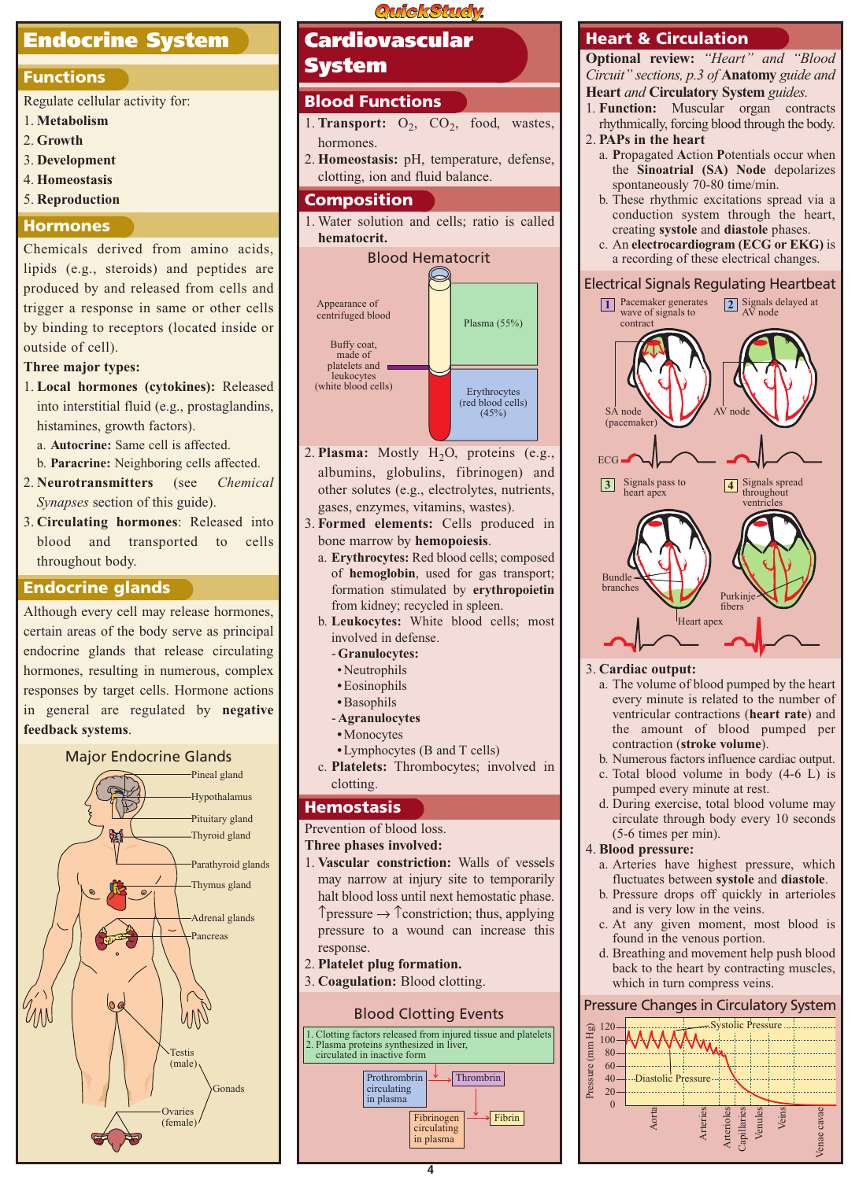#### QuickStudy.

# **Endocrine System**

#### **Functions**

Regulate cellular activity for:

- 1. **Metabolism**
- 2. **Growth**
- 3. **Development**
- 4. **Homeostasis**
- 5. **Reproduction**

#### **Hormones**

Chemicals derived from amino acids, lipids (e.g., steroids) and peptides are produced by and released from cells and trigger a response in same or other cells by binding to receptors (located inside or outside of cell).

#### **Three major types:**

- 1. **Local hormones (cytokines):** Released into interstitial fluid (e.g., prostaglandins, histamines, growth factors).
	- a. **Autocrine:** Same cell is affected.
- b. **Paracrine:** Neighboring cells affected. 2. **Neurotransmitters** (see *Chemical Synapses* section of this guide).
- 3. **Circulating hormones**: Released into blood and transported to cells throughout body.

#### **Endocrine glands**

Although every cell may release hormones, certain areas of the body serve as principal endocrine glands that release circulating hormones, resulting in numerous, complex responses by target cells. Hormone actions in general are regulated by **negative feedback systems**.





# **Cardiovascular System**

#### **Blood Functions**

- 1. **Transport:** O<sub>2</sub>, CO<sub>2</sub>, food, wastes, hormones.
- 2. **Homeostasis:** pH, temperature, defense, clotting, ion and fluid balance.

#### **Composition**

1. Water solution and cells; ratio is called **hematocrit.**



- 2. **Plasma:** Mostly  $H_2O$ , proteins (e.g., albumins, globulins, fibrinogen) and other solutes (e.g., electrolytes, nutrients, gases, enzymes, vitamins, wastes).
- 3. **Formed elements:** Cells produced in bone marrow by **hemopoiesis**.
	- a. **Erythrocytes:** Red blood cells; composed of **hemoglobin**, used for gas transport; formation stimulated by **erythropoietin** from kidney; recycled in spleen.
	- b. **Leukocytes:** White blood cells; most involved in defense.
		- -**Granulocytes:**
		- Neutrophils
		- **•**Eosinophils
		- **•**Basophils
		- **Agranulocytes**
		- **•**Monocytes
		- **•**Lymphocytes (B and T cells)
	- c. **Platelets:** Thrombocytes; involved in clotting.

### **Hemostasis**

Prevention of blood loss.

#### **Three phases involved:**

- 1. **Vascular constriction:** Walls of vessels may narrow at injury site to temporarily halt blood loss until next hemostatic phase.  $\uparrow$  pressure  $\rightarrow \uparrow$  constriction; thus, applying pressure to a wound can increase this response.
- 2. **Platelet plug formation.**
- 3. **Coagulation:** Blood clotting.

#### Blood Clotting Events



# **Heart & Circulation**

**Optional review:** *"Heart" and "Blood Circuit" sections, p.3 of* **Anatomy** *guide and* **Heart** *and* **Circulatory System** *guides.*

- 1. **Function:** Muscular organ contracts
- rhythmically, forcing blood through the body.
- 2. **PAPs in the heart**
	- a. **P**ropagated **A**ction **P**otentials occur when the **Sinoatrial (SA) Node** depolarizes spontaneously 70-80 time/min.
	- b. These rhythmic excitations spread via a conduction system through the heart, creating **systole** and **diastole** phases.
	- c. An **electrocardiogram (ECG or EKG)** is a recording of these electrical changes.

#### Electrical Signals Regulating Heartbeat



#### 3. **Cardiac output:**

- a. The volume of blood pumped by the heart every minute is related to the number of ventricular contractions (**heart rate**) and the amount of blood pumped per contraction (**stroke volume**).
- b. Numerous factors influence cardiac output.
- c. Total blood volume in body (4-6 L) is pumped every minute at rest.
- d. During exercise, total blood volume may circulate through body every 10 seconds (5-6 times per min).

#### 4. **Blood pressure:**

- a. Arteries have highest pressure, which fluctuates between **systole** and **diastole**.
- b. Pressure drops off quickly in arterioles and is very low in the veins.
- c. At any given moment, most blood is found in the venous portion.
- d. Breathing and movement help push blood back to the heart by contracting muscles, which in turn compress veins.

#### Pressure Changes in Circulatory System

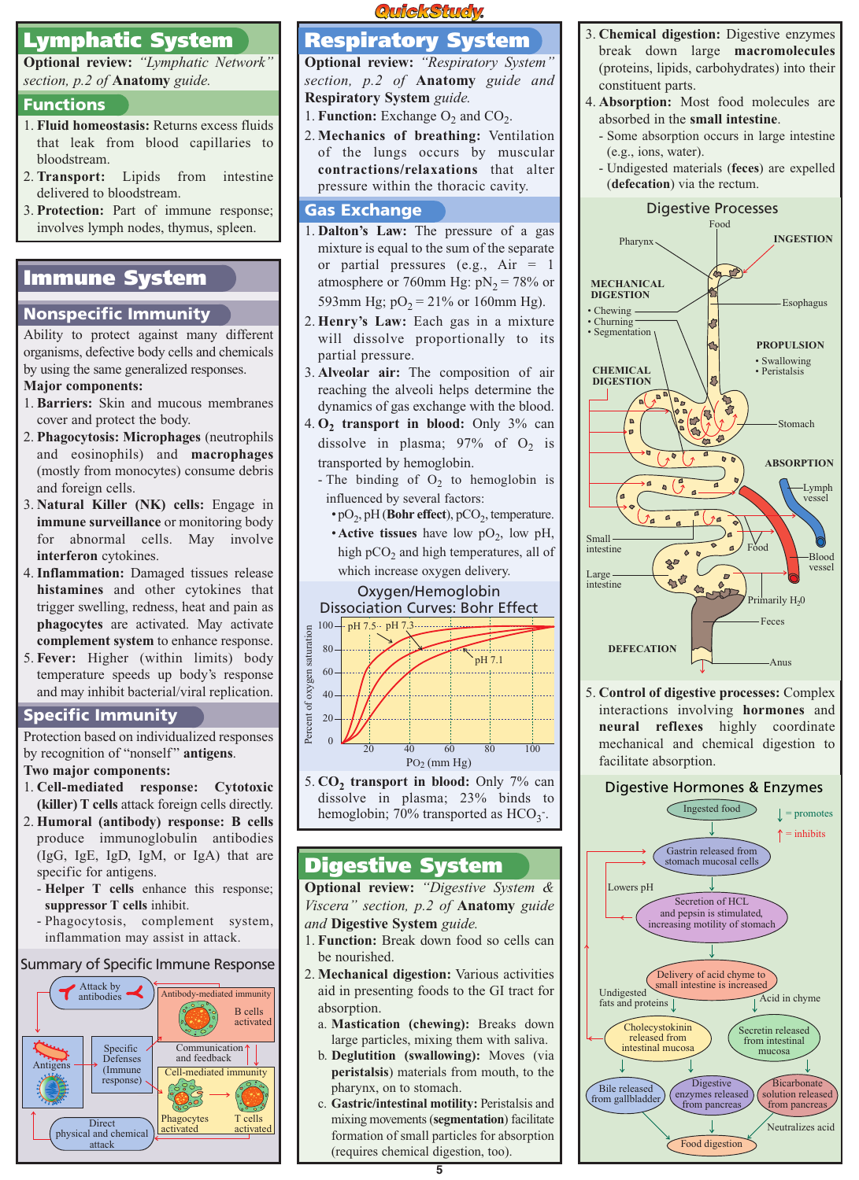# **Lymphatic System**

**Optional review:** *"Lymphatic Network" section, p.2 of* **Anatomy** *guide.*

#### **Functions**

- 1. **Fluid homeostasis:** Returns excess fluids that leak from blood capillaries to bloodstream.
- 2. **Transport:** Lipids from intestine delivered to bloodstream.
- 3. **Protection:** Part of immune response; involves lymph nodes, thymus, spleen.

# **Immune System**

#### **Nonspecific Immunity**

Ability to protect against many different organisms, defective body cells and chemicals by using the same generalized responses.

- **Major components:**
- 1. **Barriers:** Skin and mucous membranes cover and protect the body.
- 2. **Phagocytosis: Microphages** (neutrophils and eosinophils) and **macrophages** (mostly from monocytes) consume debris and foreign cells.
- 3. **Natural Killer (NK) cells:** Engage in **immune surveillance** or monitoring body for abnormal cells. May involve **interferon** cytokines.
- 4. **Inflammation:** Damaged tissues release **histamines** and other cytokines that trigger swelling, redness, heat and pain as **phagocytes** are activated. May activate **complement system** to enhance response.
- 5. **Fever:** Higher (within limits) body temperature speeds up body's response and may inhibit bacterial/viral replication.

#### **Specific Immunity**

Protection based on individualized responses by recognition of "nonself" **antigens**.

#### **Two major components:**

- 1. **Cell-mediated response: Cytotoxic (killer) T cells** attack foreign cells directly.
- 2. **Humoral (antibody) response: B cells** produce immunoglobulin antibodies (IgG, IgE, IgD, IgM, or IgA) that are specific for antigens.
	- **Helper T cells** enhance this response; **suppressor T cells** inhibit.
	- Phagocytosis, complement system, inflammation may assist in attack.

#### Summary of Specific Immune Response



#### QuickStudy

# **Respiratory System**

**Optional review:** *"Respiratory System" section, p.2 of* **Anatomy** *guide and* **Respiratory System** *guide.*

- 1. **Function:** Exchange  $O_2$  and  $CO_2$ .
- 2. **Mechanics of breathing:** Ventilation of the lungs occurs by muscular **contractions/relaxations** that alter pressure within the thoracic cavity.

#### **Gas Exchange**

- 1. **Dalton's Law:** The pressure of a gas mixture is equal to the sum of the separate or partial pressures (e.g.,  $Air = 1$ atmosphere or 760mm Hg:  $pN_2 = 78%$  or 593mm Hg;  $pO_2 = 21\%$  or 160mm Hg).
- 2. **Henry's Law:** Each gas in a mixture will dissolve proportionally to its partial pressure.
- 3. **Alveolar air:** The composition of air reaching the alveoli helps determine the dynamics of gas exchange with the blood.
- 4. **O2 transport in blood:** Only 3% can dissolve in plasma;  $97\%$  of O<sub>2</sub> is transported by hemoglobin.
	- The binding of  $O<sub>2</sub>$  to hemoglobin is influenced by several factors:
		- $\cdot$  pO<sub>2</sub>, pH (**Bohr effect**), pCO<sub>2</sub>, temperature. • Active tissues have low  $pO_2$ , low  $pH$ , high  $pCO<sub>2</sub>$  and high temperatures, all of which increase oxygen delivery.





# **Digestive System**

**Optional review:** *"Digestive System & Viscera" section, p.2 of* **Anatomy** *guide and* **Digestive System** *guide.*

- 1. **Function:** Break down food so cells can be nourished.
- 2. **Mechanical digestion:** Various activities aid in presenting foods to the GI tract for absorption.
	- a. **Mastication (chewing):** Breaks down large particles, mixing them with saliva.
	- b. **Deglutition (swallowing):** Moves (via **peristalsis**) materials from mouth, to the pharynx, on to stomach.
	- c. **Gastric/intestinal motility:** Peristalsis and mixing movements (**segmentation**) facilitate formation of small particles for absorption (requires chemical digestion, too).
- 3. **Chemical digestion:** Digestive enzymes break down large **macromolecules** (proteins, lipids, carbohydrates) into their constituent parts.
- 4. **Absorption:** Most food molecules are absorbed in the **small intestine**.
	- Some absorption occurs in large intestine (e.g., ions, water).
	- Undigested materials (**feces**) are expelled (**defecation**) via the rectum.



5. **Control of digestive processes:** Complex interactions involving **hormones** and **neural reflexes** highly coordinate mechanical and chemical digestion to facilitate absorption.

#### Digestive Hormones & Enzymes